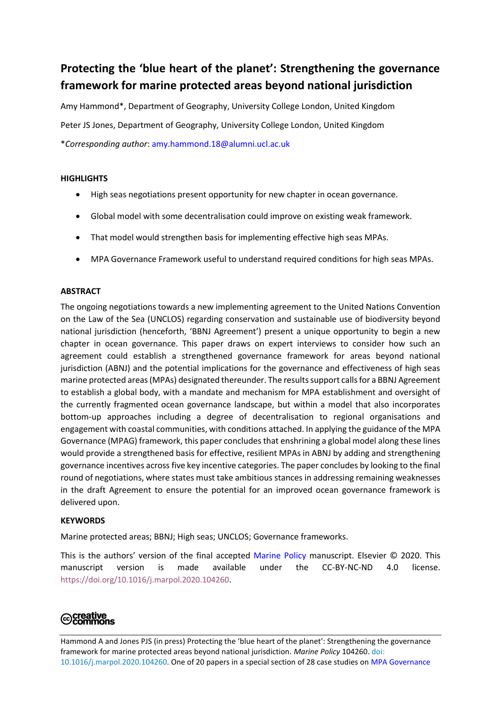# **Protecting the 'blue heart of the planet': Strengthening the governance framework for marine protected areas beyond national jurisdiction**

Amy Hammond\*, Department of Geography, University College London, United Kingdom

Peter JS Jones, Department of Geography, University College London, United Kingdom

\**Corresponding author*: [amy.hammond.18@alumni.ucl.ac.uk](mailto:amy.hammond.18@alumni.ucl.ac.uk)

## **HIGHLIGHTS**

- High seas negotiations present opportunity for new chapter in ocean governance.
- Global model with some decentralisation could improve on existing weak framework.
- That model would strengthen basis for implementing effective high seas MPAs.
- MPA Governance Framework useful to understand required conditions for high seas MPAs.

#### **ABSTRACT**

The ongoing negotiations towards a new implementing agreement to the United Nations Convention on the Law of the Sea (UNCLOS) regarding conservation and sustainable use of biodiversity beyond national jurisdiction (henceforth, 'BBNJ Agreement') present a unique opportunity to begin a new chapter in ocean governance. This paper draws on expert interviews to consider how such an agreement could establish a strengthened governance framework for areas beyond national jurisdiction (ABNJ) and the potential implications for the governance and effectiveness of high seas marine protected areas (MPAs) designated thereunder. The results support calls for a BBNJ Agreement to establish a global body, with a mandate and mechanism for MPA establishment and oversight of the currently fragmented ocean governance landscape, but within a model that also incorporates bottom-up approaches including a degree of decentralisation to regional organisations and engagement with coastal communities, with conditions attached. In applying the guidance of the MPA Governance (MPAG) framework, this paper concludes that enshrining a global model along these lines would provide a strengthened basis for effective, resilient MPAs in ABNJ by adding and strengthening governance incentives across five key incentive categories. The paper concludes by looking to the final round of negotiations, where states must take ambitious stances in addressing remaining weaknesses in the draft Agreement to ensure the potential for an improved ocean governance framework is delivered upon.

#### **KEYWORDS**

Marine protected areas; BBNJ; High seas; UNCLOS; Governance frameworks.

This is the authors' version of the final accepted [Marine Policy](https://www.journals.elsevier.com/marine-policy) manuscript. Elsevier © 2020. This manuscript version is made available under the CC-BY-NC-ND 4.0 license. <https://doi.org/10.1016/j.marpol.2020.104260>.

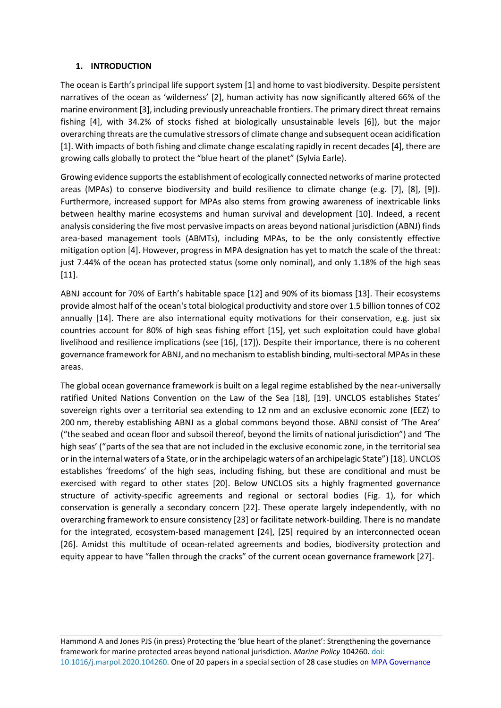## **1. INTRODUCTION**

The ocean is Earth's principal life support system [1] and home to vast biodiversity. Despite persistent narratives of the ocean as 'wilderness' [2], human activity has now significantly altered 66% of the marine environment [3], including previously unreachable frontiers. The primary direct threat remains fishing [4], with 34.2% of stocks fished at biologically unsustainable levels [6]), but the major overarching threats are the cumulative stressors of climate change and subsequent ocean acidification [1]. With impacts of both fishing and climate change escalating rapidly in recent decades [4], there are growing calls globally to protect the "blue heart of the planet" (Sylvia Earle).

Growing evidence supports the establishment of ecologically connected networks of marine protected areas (MPAs) to conserve biodiversity and build resilience to climate change (e.g. [7], [8], [9]). Furthermore, increased support for MPAs also stems from growing awareness of inextricable links between healthy marine ecosystems and human survival and development [10]. Indeed, a recent analysis considering the five most pervasive impacts on areas beyond national jurisdiction (ABNJ) finds area-based management tools (ABMTs), including MPAs, to be the only consistently effective mitigation option [4]. However, progress in MPA designation has yet to match the scale of the threat: just 7.44% of the ocean has protected status (some only nominal), and only 1.18% of the high seas [11].

ABNJ account for 70% of Earth's habitable space [12] and 90% of its biomass [13]. Their ecosystems provide almost half of the ocean's total biological productivity and store over 1.5 billion tonnes of CO2 annually [14]. There are also international equity motivations for their conservation, e.g. just six countries account for 80% of high seas fishing effort [15], yet such exploitation could have global livelihood and resilience implications (see [16], [17]). Despite their importance, there is no coherent governance framework for ABNJ, and no mechanism to establish binding, multi-sectoral MPAs in these areas.

The global ocean governance framework is built on a legal regime established by the near-universally ratified United Nations Convention on the Law of the Sea [18], [19]. UNCLOS establishes States' sovereign rights over a territorial sea extending to 12 nm and an exclusive economic zone (EEZ) to 200 nm, thereby establishing ABNJ as a global commons beyond those. ABNJ consist of 'The Area' ("the seabed and ocean floor and subsoil thereof, beyond the limits of national jurisdiction") and 'The high seas' ("parts of the sea that are not included in the exclusive economic zone, in the territorial sea or in the internal waters of a State, or in the archipelagic waters of an archipelagic State") [18]. UNCLOS establishes 'freedoms' of the high seas, including fishing, but these are conditional and must be exercised with regard to other states [20]. Below UNCLOS sits a highly fragmented governance structure of activity-specific agreements and regional or sectoral bodies (Fig. 1), for which conservation is generally a secondary concern [22]. These operate largely independently, with no overarching framework to ensure consistency [23] or facilitate network-building. There is no mandate for the integrated, ecosystem-based management [24], [25] required by an interconnected ocean [26]. Amidst this multitude of ocean-related agreements and bodies, biodiversity protection and equity appear to have "fallen through the cracks" of the current ocean governance framework [27].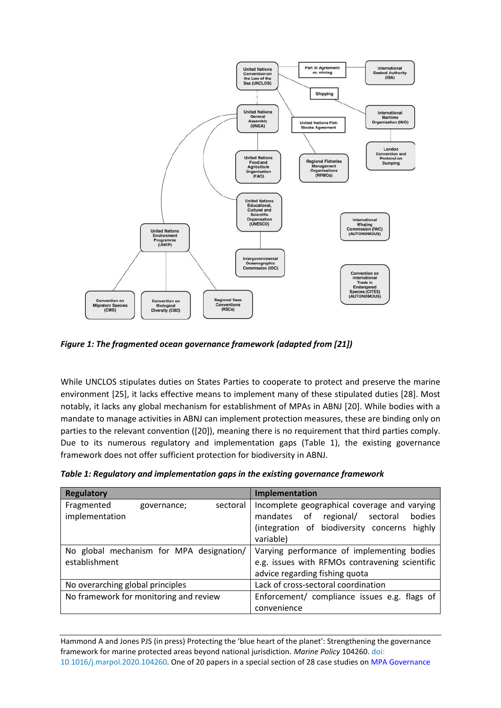

*Figure 1: The fragmented ocean governance framework (adapted from [21])*

While UNCLOS stipulates duties on States Parties to cooperate to protect and preserve the marine environment [25], it lacks effective means to implement many of these stipulated duties [28]. Most notably, it lacks any global mechanism for establishment of MPAs in ABNJ [20]. While bodies with a mandate to manage activities in ABNJ can implement protection measures, these are binding only on parties to the relevant convention ([20]), meaning there is no requirement that third parties comply. Due to its numerous regulatory and implementation gaps (Table 1), the existing governance framework does not offer sufficient protection for biodiversity in ABNJ.

|  |  |  | Table 1: Regulatory and implementation gaps in the existing governance framework |  |
|--|--|--|----------------------------------------------------------------------------------|--|
|--|--|--|----------------------------------------------------------------------------------|--|

| <b>Regulatory</b>                                         | Implementation                                                                                                                                           |
|-----------------------------------------------------------|----------------------------------------------------------------------------------------------------------------------------------------------------------|
| Fragmented<br>sectoral<br>governance;<br>implementation   | Incomplete geographical coverage and varying<br>bodies<br>mandates of regional/ sectoral<br>(integration of biodiversity concerns<br>highly<br>variable) |
| No global mechanism for MPA designation/<br>establishment | Varying performance of implementing bodies<br>e.g. issues with RFMOs contravening scientific<br>advice regarding fishing quota                           |
| No overarching global principles                          | Lack of cross-sectoral coordination                                                                                                                      |
| No framework for monitoring and review                    | Enforcement/ compliance issues e.g. flags of<br>convenience                                                                                              |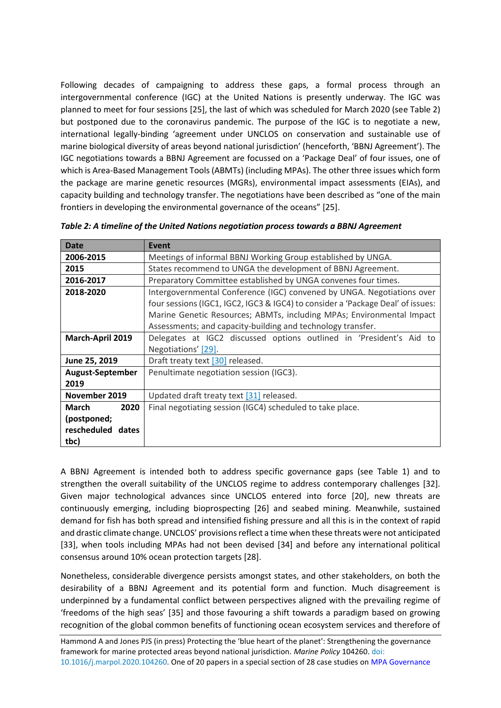Following decades of campaigning to address these gaps, a formal process through an intergovernmental conference (IGC) at the United Nations is presently underway. The IGC was planned to meet for four sessions [25], the last of which was scheduled for March 2020 (see Table 2) but postponed due to the coronavirus pandemic. The purpose of the IGC is to negotiate a new, international legally-binding 'agreement under UNCLOS on conservation and sustainable use of marine biological diversity of areas beyond national jurisdiction' (henceforth, 'BBNJ Agreement'). The IGC negotiations towards a BBNJ Agreement are focussed on a 'Package Deal' of four issues, one of which is Area-Based Management Tools (ABMTs) (including MPAs). The other three issues which form the package are marine genetic resources (MGRs), environmental impact assessments (EIAs), and capacity building and technology transfer. The negotiations have been described as "one of the main frontiers in developing the environmental governance of the oceans" [25].

| <b>Date</b>             | Event                                                                                                                                                     |  |  |  |  |
|-------------------------|-----------------------------------------------------------------------------------------------------------------------------------------------------------|--|--|--|--|
| 2006-2015               | Meetings of informal BBNJ Working Group established by UNGA.                                                                                              |  |  |  |  |
| 2015                    | States recommend to UNGA the development of BBNJ Agreement.                                                                                               |  |  |  |  |
| 2016-2017               | Preparatory Committee established by UNGA convenes four times.                                                                                            |  |  |  |  |
| 2018-2020               | Intergovernmental Conference (IGC) convened by UNGA. Negotiations over<br>four sessions (IGC1, IGC2, IGC3 & IGC4) to consider a 'Package Deal' of issues: |  |  |  |  |
|                         | Marine Genetic Resources; ABMTs, including MPAs; Environmental Impact<br>Assessments; and capacity-building and technology transfer.                      |  |  |  |  |
| <b>March-April 2019</b> | Delegates at IGC2 discussed options outlined in 'President's Aid to                                                                                       |  |  |  |  |
|                         | Negotiations' [29].                                                                                                                                       |  |  |  |  |
| June 25, 2019           | Draft treaty text [30] released.                                                                                                                          |  |  |  |  |
| August-September        | Penultimate negotiation session (IGC3).                                                                                                                   |  |  |  |  |
| 2019                    |                                                                                                                                                           |  |  |  |  |
| November 2019           | Updated draft treaty text [31] released.                                                                                                                  |  |  |  |  |
| March<br>2020           | Final negotiating session (IGC4) scheduled to take place.                                                                                                 |  |  |  |  |
| (postponed;             |                                                                                                                                                           |  |  |  |  |
| rescheduled dates       |                                                                                                                                                           |  |  |  |  |
| tbc)                    |                                                                                                                                                           |  |  |  |  |

*Table 2: A timeline of the United Nations negotiation process towards a BBNJ Agreement*

A BBNJ Agreement is intended both to address specific governance gaps (see Table 1) and to strengthen the overall suitability of the UNCLOS regime to address contemporary challenges [32]. Given major technological advances since UNCLOS entered into force [20], new threats are continuously emerging, including bioprospecting [26] and seabed mining. Meanwhile, sustained demand for fish has both spread and intensified fishing pressure and all this is in the context of rapid and drastic climate change. UNCLOS' provisions reflect a time when these threats were not anticipated [33], when tools including MPAs had not been devised [34] and before any international political consensus around 10% ocean protection targets [28].

Nonetheless, considerable divergence persists amongst states, and other stakeholders, on both the desirability of a BBNJ Agreement and its potential form and function. Much disagreement is underpinned by a fundamental conflict between perspectives aligned with the prevailing regime of 'freedoms of the high seas' [35] and those favouring a shift towards a paradigm based on growing recognition of the global common benefits of functioning ocean ecosystem services and therefore of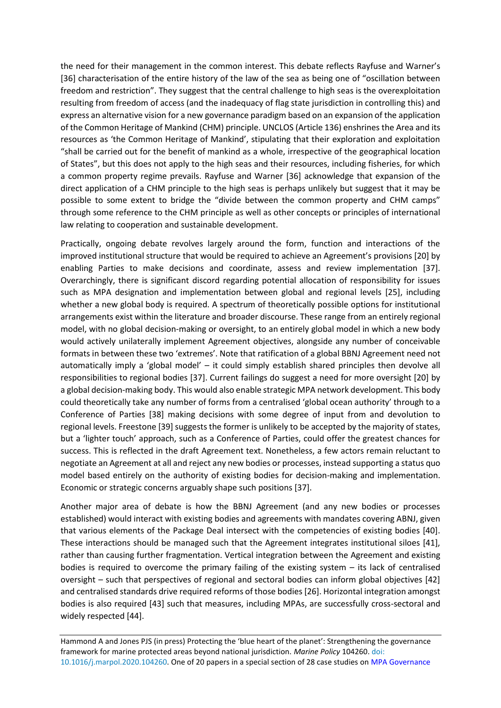the need for their management in the common interest. This debate reflects Rayfuse and Warner's [36] characterisation of the entire history of the law of the sea as being one of "oscillation between freedom and restriction". They suggest that the central challenge to high seas is the overexploitation resulting from freedom of access (and the inadequacy of flag state jurisdiction in controlling this) and express an alternative vision for a new governance paradigm based on an expansion of the application of the Common Heritage of Mankind (CHM) principle. UNCLOS (Article 136) enshrines the Area and its resources as 'the Common Heritage of Mankind', stipulating that their exploration and exploitation "shall be carried out for the benefit of mankind as a whole, irrespective of the geographical location of States", but this does not apply to the high seas and their resources, including fisheries, for which a common property regime prevails. Rayfuse and Warner [36] acknowledge that expansion of the direct application of a CHM principle to the high seas is perhaps unlikely but suggest that it may be possible to some extent to bridge the "divide between the common property and CHM camps" through some reference to the CHM principle as well as other concepts or principles of international law relating to cooperation and sustainable development.

Practically, ongoing debate revolves largely around the form, function and interactions of the improved institutional structure that would be required to achieve an Agreement's provisions [20] by enabling Parties to make decisions and coordinate, assess and review implementation [37]. Overarchingly, there is significant discord regarding potential allocation of responsibility for issues such as MPA designation and implementation between global and regional levels [25], including whether a new global body is required. A spectrum of theoretically possible options for institutional arrangements exist within the literature and broader discourse. These range from an entirely regional model, with no global decision-making or oversight, to an entirely global model in which a new body would actively unilaterally implement Agreement objectives, alongside any number of conceivable formats in between these two 'extremes'. Note that ratification of a global BBNJ Agreement need not automatically imply a 'global model' – it could simply establish shared principles then devolve all responsibilities to regional bodies [37]. Current failings do suggest a need for more oversight [20] by a global decision-making body. This would also enable strategic MPA network development. This body could theoretically take any number of forms from a centralised 'global ocean authority' through to a Conference of Parties [38] making decisions with some degree of input from and devolution to regional levels. Freestone [39] suggests the former is unlikely to be accepted by the majority of states, but a 'lighter touch' approach, such as a Conference of Parties, could offer the greatest chances for success. This is reflected in the draft Agreement text. Nonetheless, a few actors remain reluctant to negotiate an Agreement at all and reject any new bodies or processes, instead supporting a status quo model based entirely on the authority of existing bodies for decision-making and implementation. Economic or strategic concerns arguably shape such positions [37].

Another major area of debate is how the BBNJ Agreement (and any new bodies or processes established) would interact with existing bodies and agreements with mandates covering ABNJ, given that various elements of the Package Deal intersect with the competencies of existing bodies [40]. These interactions should be managed such that the Agreement integrates institutional siloes [41], rather than causing further fragmentation. Vertical integration between the Agreement and existing bodies is required to overcome the primary failing of the existing system – its lack of centralised oversight – such that perspectives of regional and sectoral bodies can inform global objectives [42] and centralised standards drive required reforms of those bodies [26]. Horizontal integration amongst bodies is also required [43] such that measures, including MPAs, are successfully cross-sectoral and widely respected [44].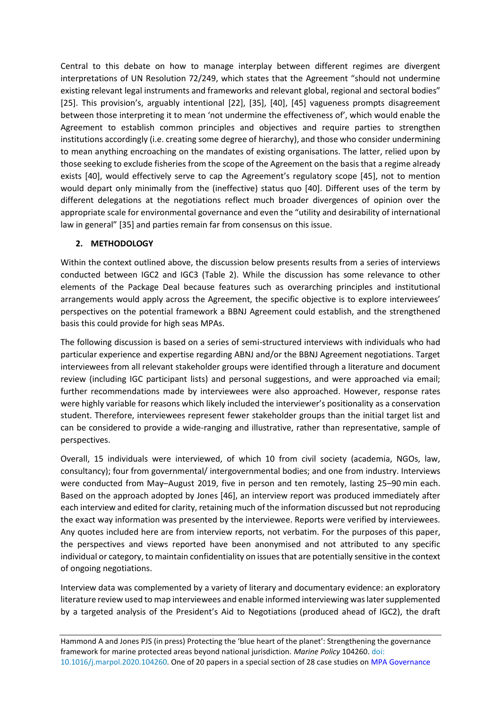Central to this debate on how to manage interplay between different regimes are divergent interpretations of UN Resolution 72/249, which states that the Agreement "should not undermine existing relevant legal instruments and frameworks and relevant global, regional and sectoral bodies" [25]. This provision's, arguably intentional [22], [35], [40], [45] vagueness prompts disagreement between those interpreting it to mean 'not undermine the effectiveness of', which would enable the Agreement to establish common principles and objectives and require parties to strengthen institutions accordingly (i.e. creating some degree of hierarchy), and those who consider undermining to mean anything encroaching on the mandates of existing organisations. The latter, relied upon by those seeking to exclude fisheries from the scope of the Agreement on the basis that a regime already exists [40], would effectively serve to cap the Agreement's regulatory scope [45], not to mention would depart only minimally from the (ineffective) status quo [40]. Different uses of the term by different delegations at the negotiations reflect much broader divergences of opinion over the appropriate scale for environmental governance and even the "utility and desirability of international law in general" [35] and parties remain far from consensus on this issue.

# **2. METHODOLOGY**

Within the context outlined above, the discussion below presents results from a series of interviews conducted between IGC2 and IGC3 (Table 2). While the discussion has some relevance to other elements of the Package Deal because features such as overarching principles and institutional arrangements would apply across the Agreement, the specific objective is to explore interviewees' perspectives on the potential framework a BBNJ Agreement could establish, and the strengthened basis this could provide for high seas MPAs.

The following discussion is based on a series of semi-structured interviews with individuals who had particular experience and expertise regarding ABNJ and/or the BBNJ Agreement negotiations. Target interviewees from all relevant stakeholder groups were identified through a literature and document review (including IGC participant lists) and personal suggestions, and were approached via email; further recommendations made by interviewees were also approached. However, response rates were highly variable for reasons which likely included the interviewer's positionality as a conservation student. Therefore, interviewees represent fewer stakeholder groups than the initial target list and can be considered to provide a wide-ranging and illustrative, rather than representative, sample of perspectives.

Overall, 15 individuals were interviewed, of which 10 from civil society (academia, NGOs, law, consultancy); four from governmental/ intergovernmental bodies; and one from industry. Interviews were conducted from May–August 2019, five in person and ten remotely, lasting 25–90 min each. Based on the approach adopted by Jones [46], an interview report was produced immediately after each interview and edited for clarity, retaining much of the information discussed but not reproducing the exact way information was presented by the interviewee. Reports were verified by interviewees. Any quotes included here are from interview reports, not verbatim. For the purposes of this paper, the perspectives and views reported have been anonymised and not attributed to any specific individual or category, to maintain confidentiality on issues that are potentially sensitive in the context of ongoing negotiations.

Interview data was complemented by a variety of literary and documentary evidence: an exploratory literature review used to map interviewees and enable informed interviewing was later supplemented by a targeted analysis of the President's Aid to Negotiations (produced ahead of IGC2), the draft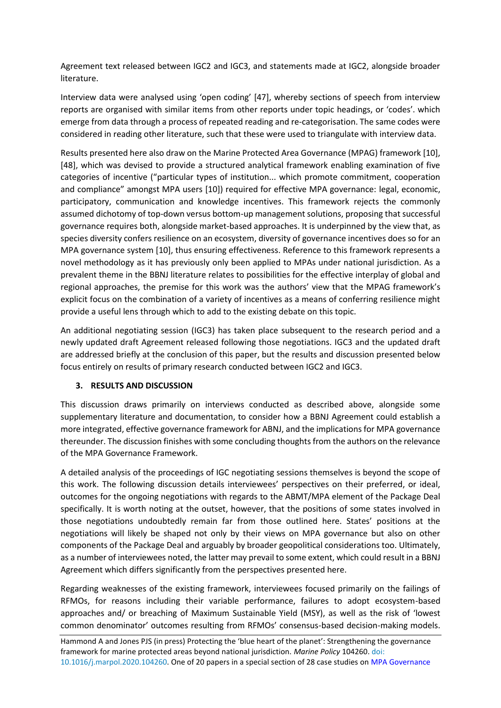Agreement text released between IGC2 and IGC3, and statements made at IGC2, alongside broader literature.

Interview data were analysed using 'open coding' [47], whereby sections of speech from interview reports are organised with similar items from other reports under topic headings, or 'codes'. which emerge from data through a process of repeated reading and re-categorisation. The same codes were considered in reading other literature, such that these were used to triangulate with interview data.

Results presented here also draw on the Marine Protected Area Governance (MPAG) framework [10], [48], which was devised to provide a structured analytical framework enabling examination of five categories of incentive ("particular types of institution... which promote commitment, cooperation and compliance" amongst MPA users [10]) required for effective MPA governance: legal, economic, participatory, communication and knowledge incentives. This framework rejects the commonly assumed dichotomy of top-down versus bottom-up management solutions, proposing that successful governance requires both, alongside market-based approaches. It is underpinned by the view that, as species diversity confers resilience on an ecosystem, diversity of governance incentives does so for an MPA governance system [10], thus ensuring effectiveness. Reference to this framework represents a novel methodology as it has previously only been applied to MPAs under national jurisdiction. As a prevalent theme in the BBNJ literature relates to possibilities for the effective interplay of global and regional approaches, the premise for this work was the authors' view that the MPAG framework's explicit focus on the combination of a variety of incentives as a means of conferring resilience might provide a useful lens through which to add to the existing debate on this topic.

An additional negotiating session (IGC3) has taken place subsequent to the research period and a newly updated draft Agreement released following those negotiations. IGC3 and the updated draft are addressed briefly at the conclusion of this paper, but the results and discussion presented below focus entirely on results of primary research conducted between IGC2 and IGC3.

# **3. RESULTS AND DISCUSSION**

This discussion draws primarily on interviews conducted as described above, alongside some supplementary literature and documentation, to consider how a BBNJ Agreement could establish a more integrated, effective governance framework for ABNJ, and the implications for MPA governance thereunder. The discussion finishes with some concluding thoughts from the authors on the relevance of the MPA Governance Framework.

A detailed analysis of the proceedings of IGC negotiating sessions themselves is beyond the scope of this work. The following discussion details interviewees' perspectives on their preferred, or ideal, outcomes for the ongoing negotiations with regards to the ABMT/MPA element of the Package Deal specifically. It is worth noting at the outset, however, that the positions of some states involved in those negotiations undoubtedly remain far from those outlined here. States' positions at the negotiations will likely be shaped not only by their views on MPA governance but also on other components of the Package Deal and arguably by broader geopolitical considerations too. Ultimately, as a number of interviewees noted, the latter may prevail to some extent, which could result in a BBNJ Agreement which differs significantly from the perspectives presented here.

Regarding weaknesses of the existing framework, interviewees focused primarily on the failings of RFMOs, for reasons including their variable performance, failures to adopt ecosystem-based approaches and/ or breaching of Maximum Sustainable Yield (MSY), as well as the risk of 'lowest common denominator' outcomes resulting from RFMOs' consensus-based decision-making models.

Hammond A and Jones PJS (in press) Protecting the 'blue heart of the planet': Strengthening the governance framework for marine protected areas beyond national jurisdiction. *Marine Policy* 104260. [doi:](https://doi.org/10.1016/j.marpol.2020.104260)  [10.1016/j.marpol.2020.104260.](https://doi.org/10.1016/j.marpol.2020.104260) One of 20 papers in a special section of 28 case studies on [MPA Governance](https://www.geog.ucl.ac.uk/people/academic-staff/peter-jones/dr-peter-js-jones/files/mpag-special-section-contents)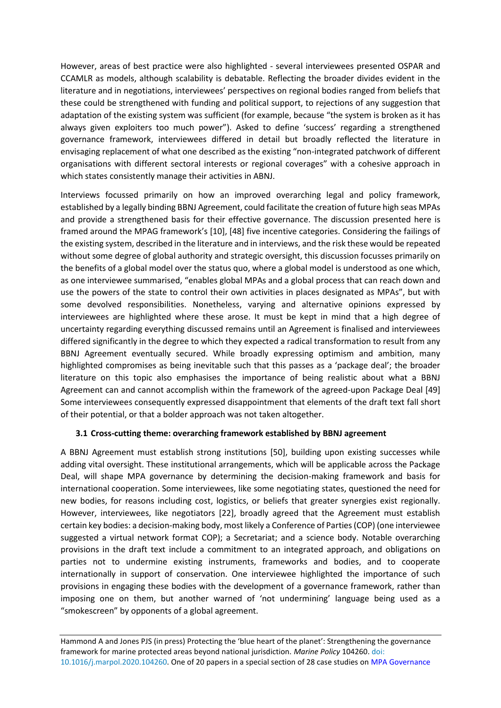However, areas of best practice were also highlighted - several interviewees presented OSPAR and CCAMLR as models, although scalability is debatable. Reflecting the broader divides evident in the literature and in negotiations, interviewees' perspectives on regional bodies ranged from beliefs that these could be strengthened with funding and political support, to rejections of any suggestion that adaptation of the existing system was sufficient (for example, because "the system is broken as it has always given exploiters too much power"). Asked to define 'success' regarding a strengthened governance framework, interviewees differed in detail but broadly reflected the literature in envisaging replacement of what one described as the existing "non-integrated patchwork of different organisations with different sectoral interests or regional coverages" with a cohesive approach in which states consistently manage their activities in ABNJ.

Interviews focussed primarily on how an improved overarching legal and policy framework, established by a legally binding BBNJ Agreement, could facilitate the creation of future high seas MPAs and provide a strengthened basis for their effective governance. The discussion presented here is framed around the MPAG framework's [10], [48] five incentive categories. Considering the failings of the existing system, described in the literature and in interviews, and the risk these would be repeated without some degree of global authority and strategic oversight, this discussion focusses primarily on the benefits of a global model over the status quo, where a global model is understood as one which, as one interviewee summarised, "enables global MPAs and a global process that can reach down and use the powers of the state to control their own activities in places designated as MPAs", but with some devolved responsibilities. Nonetheless, varying and alternative opinions expressed by interviewees are highlighted where these arose. It must be kept in mind that a high degree of uncertainty regarding everything discussed remains until an Agreement is finalised and interviewees differed significantly in the degree to which they expected a radical transformation to result from any BBNJ Agreement eventually secured. While broadly expressing optimism and ambition, many highlighted compromises as being inevitable such that this passes as a 'package deal'; the broader literature on this topic also emphasises the importance of being realistic about what a BBNJ Agreement can and cannot accomplish within the framework of the agreed-upon Package Deal [49] Some interviewees consequently expressed disappointment that elements of the draft text fall short of their potential, or that a bolder approach was not taken altogether.

# **3.1 Cross-cutting theme: overarching framework established by BBNJ agreement**

A BBNJ Agreement must establish strong institutions [50], building upon existing successes while adding vital oversight. These institutional arrangements, which will be applicable across the Package Deal, will shape MPA governance by determining the decision-making framework and basis for international cooperation. Some interviewees, like some negotiating states, questioned the need for new bodies, for reasons including cost, logistics, or beliefs that greater synergies exist regionally. However, interviewees, like negotiators [22], broadly agreed that the Agreement must establish certain key bodies: a decision-making body, most likely a Conference of Parties (COP) (one interviewee suggested a virtual network format COP); a Secretariat; and a science body. Notable overarching provisions in the draft text include a commitment to an integrated approach, and obligations on parties not to undermine existing instruments, frameworks and bodies, and to cooperate internationally in support of conservation. One interviewee highlighted the importance of such provisions in engaging these bodies with the development of a governance framework, rather than imposing one on them, but another warned of 'not undermining' language being used as a "smokescreen" by opponents of a global agreement.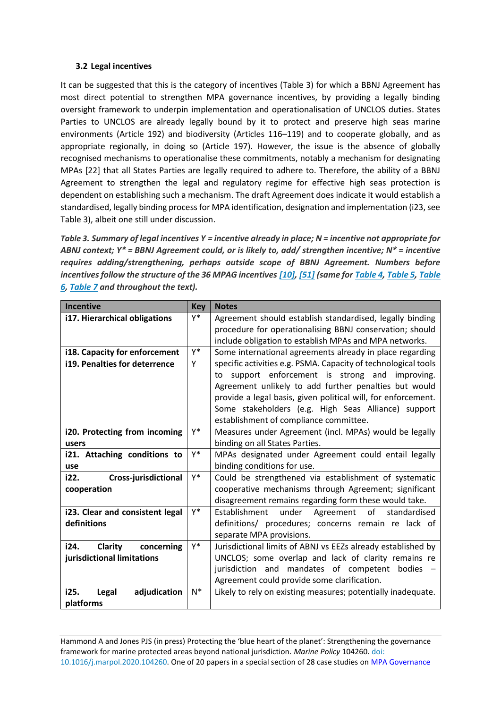### **3.2 Legal incentives**

It can be suggested that this is the category of incentives (Table 3) for which a BBNJ Agreement has most direct potential to strengthen MPA governance incentives, by providing a legally binding oversight framework to underpin implementation and operationalisation of UNCLOS duties. States Parties to UNCLOS are already legally bound by it to protect and preserve high seas marine environments (Article 192) and biodiversity (Articles 116–119) and to cooperate globally, and as appropriate regionally, in doing so (Article 197). However, the issue is the absence of globally recognised mechanisms to operationalise these commitments, notably a mechanism for designating MPAs [22] that all States Parties are legally required to adhere to. Therefore, the ability of a BBNJ Agreement to strengthen the legal and regulatory regime for effective high seas protection is dependent on establishing such a mechanism. The draft Agreement does indicate it would establish a standardised, legally binding process for MPA identification, designation and implementation (i23, see Table 3), albeit one still under discussion.

*Table 3. Summary of legal incentives Y = incentive already in place; N = incentive not appropriate for ABNJ context; Y\* = BBNJ Agreement could, or is likely to, add/ strengthen incentive; N\* = incentive requires adding/strengthening, perhaps outside scope of BBNJ Agreement. Numbers before incentives follow the structure of the 36 MPAG incentives [\[10\],](https://www.sciencedirect.com/science/article/pii/S0308597X20309064?dgcid=author#bb10) [\[51\]](https://www.sciencedirect.com/science/article/pii/S0308597X20309064?dgcid=author#bb51) (same for [Table 4,](https://www.sciencedirect.com/science/article/pii/S0308597X20309064?dgcid=author#tbl0020) [Table 5,](https://www.sciencedirect.com/science/article/pii/S0308597X20309064?dgcid=author#tbl0025) [Table](https://www.sciencedirect.com/science/article/pii/S0308597X20309064?dgcid=author#tbl0030)  [6,](https://www.sciencedirect.com/science/article/pii/S0308597X20309064?dgcid=author#tbl0030) [Table 7](https://www.sciencedirect.com/science/article/pii/S0308597X20309064?dgcid=author#tbl0035) and throughout the text).*

| <b>Incentive</b>                    | <b>Key</b> | <b>Notes</b>                                                   |
|-------------------------------------|------------|----------------------------------------------------------------|
| i17. Hierarchical obligations       | Y*         | Agreement should establish standardised, legally binding       |
|                                     |            | procedure for operationalising BBNJ conservation; should       |
|                                     |            | include obligation to establish MPAs and MPA networks.         |
| i18. Capacity for enforcement       | Y*         | Some international agreements already in place regarding       |
| i19. Penalties for deterrence       | Y          | specific activities e.g. PSMA. Capacity of technological tools |
|                                     |            | support enforcement is strong and improving.<br>to             |
|                                     |            | Agreement unlikely to add further penalties but would          |
|                                     |            | provide a legal basis, given political will, for enforcement.  |
|                                     |            | Some stakeholders (e.g. High Seas Alliance) support            |
|                                     |            | establishment of compliance committee.                         |
| i20. Protecting from incoming       | Y*         | Measures under Agreement (incl. MPAs) would be legally         |
| users                               |            | binding on all States Parties.                                 |
| i21. Attaching conditions to        | Y*         | MPAs designated under Agreement could entail legally           |
| use                                 |            | binding conditions for use.                                    |
| <b>Cross-jurisdictional</b><br>i22. | Y*         | Could be strengthened via establishment of systematic          |
| cooperation                         |            | cooperative mechanisms through Agreement; significant          |
|                                     |            | disagreement remains regarding form these would take.          |
| i23. Clear and consistent legal     | Y*         | Establishment<br>under<br>Agreement<br>of<br>standardised      |
| definitions                         |            | definitions/ procedures; concerns remain re lack of            |
|                                     |            | separate MPA provisions.                                       |
| i24.<br>Clarity<br>concerning       | Y*         | Jurisdictional limits of ABNJ vs EEZs already established by   |
| jurisdictional limitations          |            | UNCLOS; some overlap and lack of clarity remains re            |
|                                     |            | jurisdiction and mandates of competent bodies                  |
|                                     |            | Agreement could provide some clarification.                    |
| adjudication<br>i25.<br>Legal       | $N^*$      | Likely to rely on existing measures; potentially inadequate.   |
| platforms                           |            |                                                                |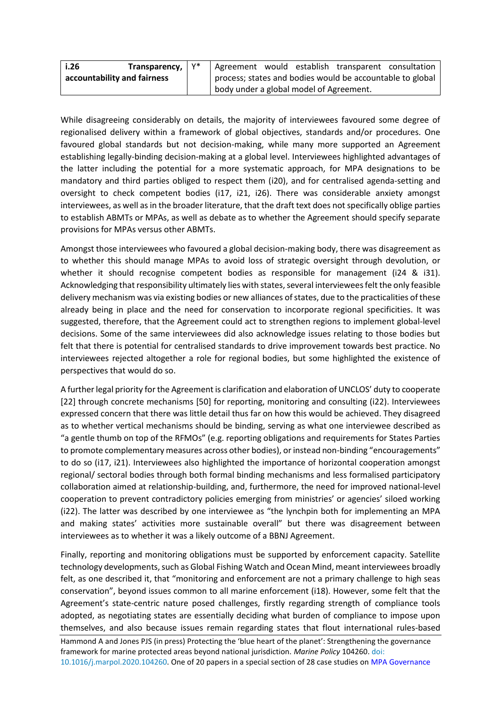| i.26                        | <b>Transparency,</b> $Y^*$ |  |                                         |  | Agreement would establish transparent consultation        |
|-----------------------------|----------------------------|--|-----------------------------------------|--|-----------------------------------------------------------|
| accountability and fairness |                            |  |                                         |  | process; states and bodies would be accountable to global |
|                             |                            |  | body under a global model of Agreement. |  |                                                           |

While disagreeing considerably on details, the majority of interviewees favoured some degree of regionalised delivery within a framework of global objectives, standards and/or procedures. One favoured global standards but not decision-making, while many more supported an Agreement establishing legally-binding decision-making at a global level. Interviewees highlighted advantages of the latter including the potential for a more systematic approach, for MPA designations to be mandatory and third parties obliged to respect them (i20), and for centralised agenda-setting and oversight to check competent bodies (i17, i21, i26). There was considerable anxiety amongst interviewees, as well as in the broader literature, that the draft text does not specifically oblige parties to establish ABMTs or MPAs, as well as debate as to whether the Agreement should specify separate provisions for MPAs versus other ABMTs.

Amongst those interviewees who favoured a global decision-making body, there was disagreement as to whether this should manage MPAs to avoid loss of strategic oversight through devolution, or whether it should recognise competent bodies as responsible for management (i24 & i31). Acknowledging that responsibility ultimately lies with states, several interviewees felt the only feasible delivery mechanism was via existing bodies or new alliances of states, due to the practicalities of these already being in place and the need for conservation to incorporate regional specificities. It was suggested, therefore, that the Agreement could act to strengthen regions to implement global-level decisions. Some of the same interviewees did also acknowledge issues relating to those bodies but felt that there is potential for centralised standards to drive improvement towards best practice. No interviewees rejected altogether a role for regional bodies, but some highlighted the existence of perspectives that would do so.

A further legal priority for the Agreement is clarification and elaboration of UNCLOS' duty to cooperate [22] through concrete mechanisms [50] for reporting, monitoring and consulting (i22). Interviewees expressed concern that there was little detail thus far on how this would be achieved. They disagreed as to whether vertical mechanisms should be binding, serving as what one interviewee described as "a gentle thumb on top of the RFMOs" (e.g. reporting obligations and requirements for States Parties to promote complementary measures across other bodies), or instead non-binding "encouragements" to do so (i17, i21). Interviewees also highlighted the importance of horizontal cooperation amongst regional/ sectoral bodies through both formal binding mechanisms and less formalised participatory collaboration aimed at relationship-building, and, furthermore, the need for improved national-level cooperation to prevent contradictory policies emerging from ministries' or agencies' siloed working (i22). The latter was described by one interviewee as "the lynchpin both for implementing an MPA and making states' activities more sustainable overall" but there was disagreement between interviewees as to whether it was a likely outcome of a BBNJ Agreement.

Finally, reporting and monitoring obligations must be supported by enforcement capacity. Satellite technology developments, such as Global Fishing Watch and Ocean Mind, meant interviewees broadly felt, as one described it, that "monitoring and enforcement are not a primary challenge to high seas conservation", beyond issues common to all marine enforcement (i18). However, some felt that the Agreement's state-centric nature posed challenges, firstly regarding strength of compliance tools adopted, as negotiating states are essentially deciding what burden of compliance to impose upon themselves, and also because issues remain regarding states that flout international rules-based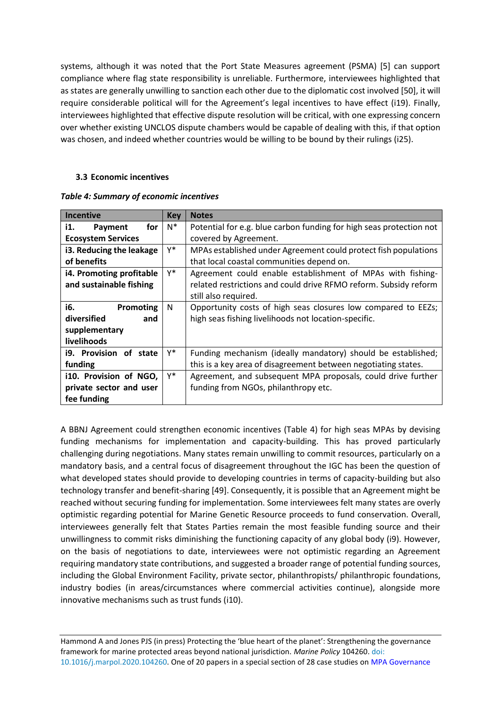systems, although it was noted that the Port State Measures agreement (PSMA) [5] can support compliance where flag state responsibility is unreliable. Furthermore, interviewees highlighted that as states are generally unwilling to sanction each other due to the diplomatic cost involved [50], it will require considerable political will for the Agreement's legal incentives to have effect (i19). Finally, interviewees highlighted that effective dispute resolution will be critical, with one expressing concern over whether existing UNCLOS dispute chambers would be capable of dealing with this, if that option was chosen, and indeed whether countries would be willing to be bound by their rulings (i25).

## **3.3 Economic incentives**

| <b>Incentive</b>          | <b>Key</b> | <b>Notes</b>                                                        |
|---------------------------|------------|---------------------------------------------------------------------|
| i1.<br>Payment<br>for     | $N^*$      | Potential for e.g. blue carbon funding for high seas protection not |
| <b>Ecosystem Services</b> |            | covered by Agreement.                                               |
| i3. Reducing the leakage  | γ*         | MPAs established under Agreement could protect fish populations     |
| of benefits               |            | that local coastal communities depend on.                           |
| i4. Promoting profitable  | Y*         | Agreement could enable establishment of MPAs with fishing-          |
| and sustainable fishing   |            | related restrictions and could drive RFMO reform. Subsidy reform    |
|                           |            | still also required.                                                |
| i6.<br>Promoting          | N          | Opportunity costs of high seas closures low compared to EEZs;       |
| diversified<br>and        |            | high seas fishing livelihoods not location-specific.                |
| supplementary             |            |                                                                     |
| livelihoods               |            |                                                                     |
| i9. Provision of state    | Y*         | Funding mechanism (ideally mandatory) should be established;        |
| funding                   |            | this is a key area of disagreement between negotiating states.      |
| i10. Provision of NGO,    | Y*         | Agreement, and subsequent MPA proposals, could drive further        |
| private sector and user   |            | funding from NGOs, philanthropy etc.                                |
| fee funding               |            |                                                                     |

## *Table 4: Summary of economic incentives*

A BBNJ Agreement could strengthen economic incentives (Table 4) for high seas MPAs by devising funding mechanisms for implementation and capacity-building. This has proved particularly challenging during negotiations. Many states remain unwilling to commit resources, particularly on a mandatory basis, and a central focus of disagreement throughout the IGC has been the question of what developed states should provide to developing countries in terms of capacity-building but also technology transfer and benefit-sharing [49]. Consequently, it is possible that an Agreement might be reached without securing funding for implementation. Some interviewees felt many states are overly optimistic regarding potential for Marine Genetic Resource proceeds to fund conservation. Overall, interviewees generally felt that States Parties remain the most feasible funding source and their unwillingness to commit risks diminishing the functioning capacity of any global body (i9). However, on the basis of negotiations to date, interviewees were not optimistic regarding an Agreement requiring mandatory state contributions, and suggested a broader range of potential funding sources, including the Global Environment Facility, private sector, philanthropists/ philanthropic foundations, industry bodies (in areas/circumstances where commercial activities continue), alongside more innovative mechanisms such as trust funds (i10).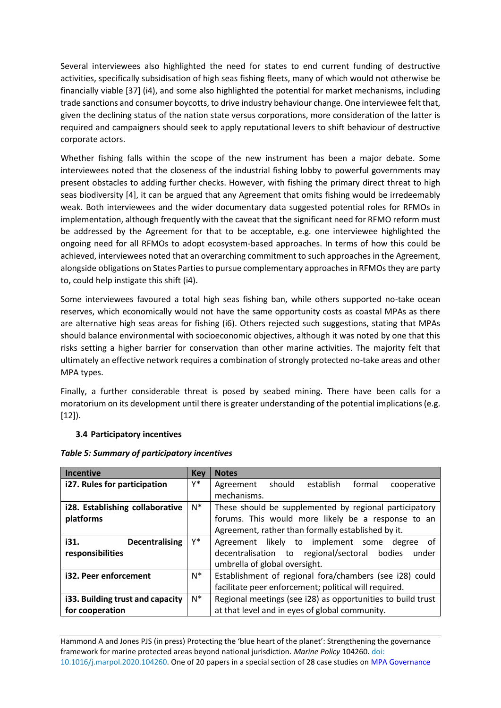Several interviewees also highlighted the need for states to end current funding of destructive activities, specifically subsidisation of high seas fishing fleets, many of which would not otherwise be financially viable [37] (i4), and some also highlighted the potential for market mechanisms, including trade sanctions and consumer boycotts, to drive industry behaviour change. One interviewee felt that, given the declining status of the nation state versus corporations, more consideration of the latter is required and campaigners should seek to apply reputational levers to shift behaviour of destructive corporate actors.

Whether fishing falls within the scope of the new instrument has been a major debate. Some interviewees noted that the closeness of the industrial fishing lobby to powerful governments may present obstacles to adding further checks. However, with fishing the primary direct threat to high seas biodiversity [4], it can be argued that any Agreement that omits fishing would be irredeemably weak. Both interviewees and the wider documentary data suggested potential roles for RFMOs in implementation, although frequently with the caveat that the significant need for RFMO reform must be addressed by the Agreement for that to be acceptable, e.g. one interviewee highlighted the ongoing need for all RFMOs to adopt ecosystem-based approaches. In terms of how this could be achieved, interviewees noted that an overarching commitment to such approaches in the Agreement, alongside obligations on States Parties to pursue complementary approaches in RFMOs they are party to, could help instigate this shift (i4).

Some interviewees favoured a total high seas fishing ban, while others supported no-take ocean reserves, which economically would not have the same opportunity costs as coastal MPAs as there are alternative high seas areas for fishing (i6). Others rejected such suggestions, stating that MPAs should balance environmental with socioeconomic objectives, although it was noted by one that this risks setting a higher barrier for conservation than other marine activities. The majority felt that ultimately an effective network requires a combination of strongly protected no-take areas and other MPA types.

Finally, a further considerable threat is posed by seabed mining. There have been calls for a moratorium on its development until there is greater understanding of the potential implications (e.g. [12]).

# **3.4 Participatory incentives**

| <b>Incentive</b>                 | <b>Key</b> | <b>Notes</b>                                                |  |
|----------------------------------|------------|-------------------------------------------------------------|--|
| i27. Rules for participation     | Y*         | establish<br>should<br>formal<br>cooperative<br>Agreement   |  |
|                                  |            | mechanisms.                                                 |  |
| i28. Establishing collaborative  | $N^*$      | These should be supplemented by regional participatory      |  |
| platforms                        |            | forums. This would more likely be a response to an          |  |
|                                  |            | Agreement, rather than formally established by it.          |  |
| i31.<br><b>Decentralising</b>    | Y*         | Agreement likely to implement some<br>degree<br>0f          |  |
| responsibilities                 |            | decentralisation to regional/sectoral<br>bodies<br>under    |  |
|                                  |            | umbrella of global oversight.                               |  |
| $N^*$<br>i32. Peer enforcement   |            | Establishment of regional fora/chambers (see i28) could     |  |
|                                  |            | facilitate peer enforcement; political will required.       |  |
| i33. Building trust and capacity | $N^*$      | Regional meetings (see i28) as opportunities to build trust |  |
| for cooperation                  |            | at that level and in eyes of global community.              |  |

#### *Table 5: Summary of participatory incentives*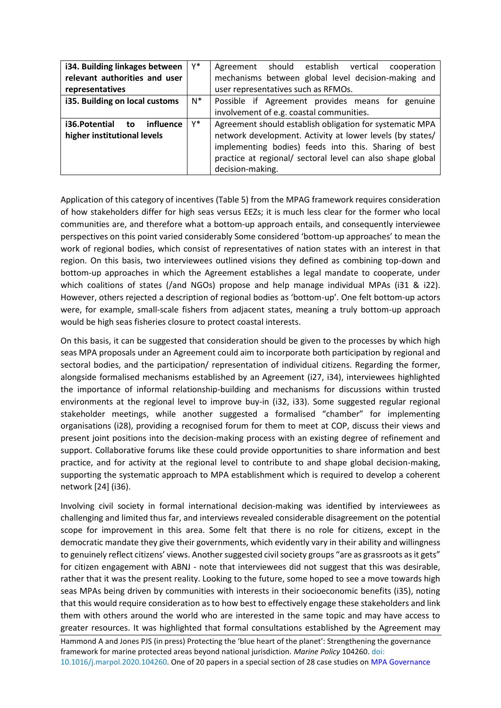| i34. Building linkages between<br>relevant authorities and user<br>representatives | $Y^*$ | should establish vertical<br>cooperation<br>Agreement<br>mechanisms between global level decision-making and<br>user representatives such as RFMOs.                                                                                                              |  |
|------------------------------------------------------------------------------------|-------|------------------------------------------------------------------------------------------------------------------------------------------------------------------------------------------------------------------------------------------------------------------|--|
| i35. Building on local customs<br>$N^*$                                            |       | Possible if Agreement provides means for genuine<br>involvement of e.g. coastal communities.                                                                                                                                                                     |  |
| i36. Potential<br>influence<br>to<br>higher institutional levels                   | Y*    | Agreement should establish obligation for systematic MPA<br>network development. Activity at lower levels (by states/<br>implementing bodies) feeds into this. Sharing of best<br>practice at regional/ sectoral level can also shape global<br>decision-making. |  |

Application of this category of incentives (Table 5) from the MPAG framework requires consideration of how stakeholders differ for high seas versus EEZs; it is much less clear for the former who local communities are, and therefore what a bottom-up approach entails, and consequently interviewee perspectives on this point varied considerably Some considered 'bottom-up approaches' to mean the work of regional bodies, which consist of representatives of nation states with an interest in that region. On this basis, two interviewees outlined visions they defined as combining top-down and bottom-up approaches in which the Agreement establishes a legal mandate to cooperate, under which coalitions of states (/and NGOs) propose and help manage individual MPAs (i31 & i22). However, others rejected a description of regional bodies as 'bottom-up'. One felt bottom-up actors were, for example, small-scale fishers from adjacent states, meaning a truly bottom-up approach would be high seas fisheries closure to protect coastal interests.

On this basis, it can be suggested that consideration should be given to the processes by which high seas MPA proposals under an Agreement could aim to incorporate both participation by regional and sectoral bodies, and the participation/ representation of individual citizens. Regarding the former, alongside formalised mechanisms established by an Agreement (i27, i34), interviewees highlighted the importance of informal relationship-building and mechanisms for discussions within trusted environments at the regional level to improve buy-in (i32, i33). Some suggested regular regional stakeholder meetings, while another suggested a formalised "chamber" for implementing organisations (i28), providing a recognised forum for them to meet at COP, discuss their views and present joint positions into the decision-making process with an existing degree of refinement and support. Collaborative forums like these could provide opportunities to share information and best practice, and for activity at the regional level to contribute to and shape global decision-making, supporting the systematic approach to MPA establishment which is required to develop a coherent network [24] (i36).

Involving civil society in formal international decision-making was identified by interviewees as challenging and limited thus far, and interviews revealed considerable disagreement on the potential scope for improvement in this area. Some felt that there is no role for citizens, except in the democratic mandate they give their governments, which evidently vary in their ability and willingness to genuinely reflect citizens' views. Another suggested civil society groups "are as grassroots as it gets" for citizen engagement with ABNJ - note that interviewees did not suggest that this was desirable, rather that it was the present reality. Looking to the future, some hoped to see a move towards high seas MPAs being driven by communities with interests in their socioeconomic benefits (i35), noting that this would require consideration as to how best to effectively engage these stakeholders and link them with others around the world who are interested in the same topic and may have access to greater resources. It was highlighted that formal consultations established by the Agreement may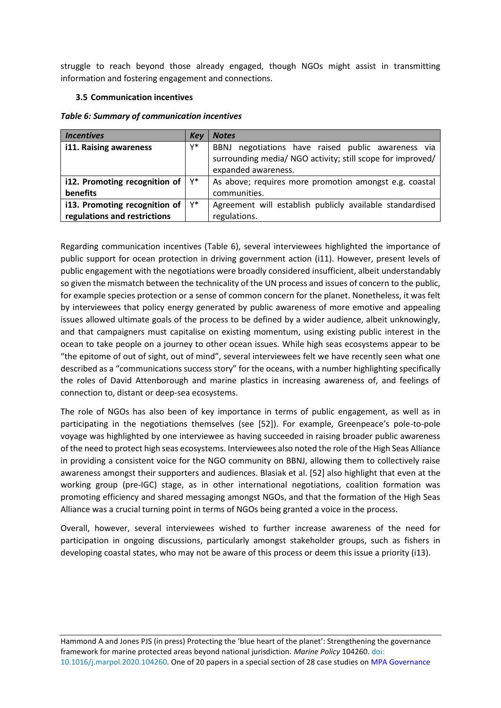struggle to reach beyond those already engaged, though NGOs might assist in transmitting information and fostering engagement and connections.

## **3.5 Communication incentives**

*Table 6: Summary of communication incentives* 

| <i><u><b>Incentives</b></u></i> | Key   | <b>Notes</b>                                                                                                                                      |  |
|---------------------------------|-------|---------------------------------------------------------------------------------------------------------------------------------------------------|--|
| i11. Raising awareness          | Y*    | negotiations have raised public awareness via<br><b>BBNJ</b><br>surrounding media/ NGO activity; still scope for improved/<br>expanded awareness. |  |
| i12. Promoting recognition of   | $Y^*$ | As above; requires more promotion amongst e.g. coastal                                                                                            |  |
| benefits                        |       | communities.                                                                                                                                      |  |
| i13. Promoting recognition of   | γ*    | Agreement will establish publicly available standardised                                                                                          |  |
| regulations and restrictions    |       | regulations.                                                                                                                                      |  |

Regarding communication incentives (Table 6), several interviewees highlighted the importance of public support for ocean protection in driving government action (i11). However, present levels of public engagement with the negotiations were broadly considered insufficient, albeit understandably so given the mismatch between the technicality of the UN process and issues of concern to the public, for example species protection or a sense of common concern for the planet. Nonetheless, it was felt by interviewees that policy energy generated by public awareness of more emotive and appealing issues allowed ultimate goals of the process to be defined by a wider audience, albeit unknowingly, and that campaigners must capitalise on existing momentum, using existing public interest in the ocean to take people on a journey to other ocean issues. While high seas ecosystems appear to be "the epitome of out of sight, out of mind", several interviewees felt we have recently seen what one described as a "communications success story" for the oceans, with a number highlighting specifically the roles of David Attenborough and marine plastics in increasing awareness of, and feelings of connection to, distant or deep-sea ecosystems.

The role of NGOs has also been of key importance in terms of public engagement, as well as in participating in the negotiations themselves (see [52]). For example, Greenpeace's pole-to-pole voyage was highlighted by one interviewee as having succeeded in raising broader public awareness of the need to protect high seas ecosystems. Interviewees also noted the role of the High Seas Alliance in providing a consistent voice for the NGO community on BBNJ, allowing them to collectively raise awareness amongst their supporters and audiences. Blasiak et al. [52] also highlight that even at the working group (pre-IGC) stage, as in other international negotiations, coalition formation was promoting efficiency and shared messaging amongst NGOs, and that the formation of the High Seas Alliance was a crucial turning point in terms of NGOs being granted a voice in the process.

Overall, however, several interviewees wished to further increase awareness of the need for participation in ongoing discussions, particularly amongst stakeholder groups, such as fishers in developing coastal states, who may not be aware of this process or deem this issue a priority (i13).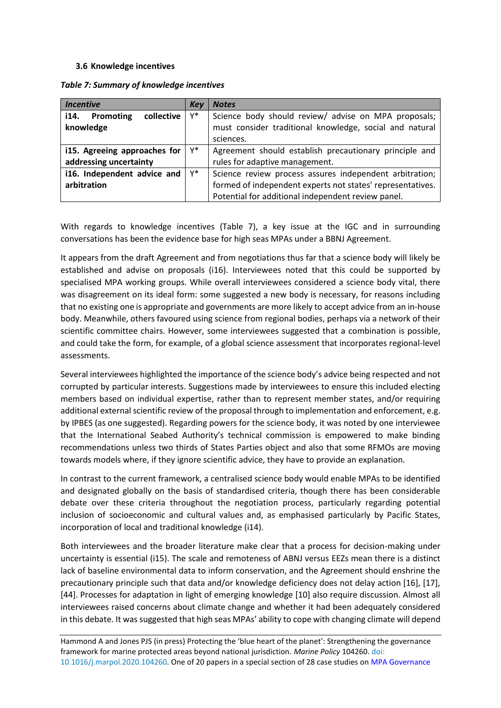#### **3.6 Knowledge incentives**

|  |  | <b>Table 7: Summary of knowledge incentives</b> |  |
|--|--|-------------------------------------------------|--|
|--|--|-------------------------------------------------|--|

| <i><u><b>Incentive</b></u></i>        |  | <b>Notes</b>                                               |
|---------------------------------------|--|------------------------------------------------------------|
| Y*<br>collective<br>Promoting<br>i14. |  | Science body should review/ advise on MPA proposals;       |
| knowledge                             |  | must consider traditional knowledge, social and natural    |
|                                       |  | sciences.                                                  |
| Y*<br>i15. Agreeing approaches for    |  | Agreement should establish precautionary principle and     |
| addressing uncertainty                |  | rules for adaptive management.                             |
| Y*<br>i16. Independent advice and     |  | Science review process assures independent arbitration;    |
| arbitration                           |  | formed of independent experts not states' representatives. |
|                                       |  | Potential for additional independent review panel.         |

With regards to knowledge incentives (Table 7), a key issue at the IGC and in surrounding conversations has been the evidence base for high seas MPAs under a BBNJ Agreement.

It appears from the draft Agreement and from negotiations thus far that a science body will likely be established and advise on proposals (i16). Interviewees noted that this could be supported by specialised MPA working groups. While overall interviewees considered a science body vital, there was disagreement on its ideal form: some suggested a new body is necessary, for reasons including that no existing one is appropriate and governments are more likely to accept advice from an in-house body. Meanwhile, others favoured using science from regional bodies, perhaps via a network of their scientific committee chairs. However, some interviewees suggested that a combination is possible, and could take the form, for example, of a global science assessment that incorporates regional-level assessments.

Several interviewees highlighted the importance of the science body's advice being respected and not corrupted by particular interests. Suggestions made by interviewees to ensure this included electing members based on individual expertise, rather than to represent member states, and/or requiring additional external scientific review of the proposal through to implementation and enforcement, e.g. by IPBES (as one suggested). Regarding powers for the science body, it was noted by one interviewee that the International Seabed Authority's technical commission is empowered to make binding recommendations unless two thirds of States Parties object and also that some RFMOs are moving towards models where, if they ignore scientific advice, they have to provide an explanation.

In contrast to the current framework, a centralised science body would enable MPAs to be identified and designated globally on the basis of standardised criteria, though there has been considerable debate over these criteria throughout the negotiation process, particularly regarding potential inclusion of socioeconomic and cultural values and, as emphasised particularly by Pacific States, incorporation of local and traditional knowledge (i14).

Both interviewees and the broader literature make clear that a process for decision-making under uncertainty is essential (i15). The scale and remoteness of ABNJ versus EEZs mean there is a distinct lack of baseline environmental data to inform conservation, and the Agreement should enshrine the precautionary principle such that data and/or knowledge deficiency does not delay action [16], [17], [44]. Processes for adaptation in light of emerging knowledge [10] also require discussion. Almost all interviewees raised concerns about climate change and whether it had been adequately considered in this debate. It was suggested that high seas MPAs' ability to cope with changing climate will depend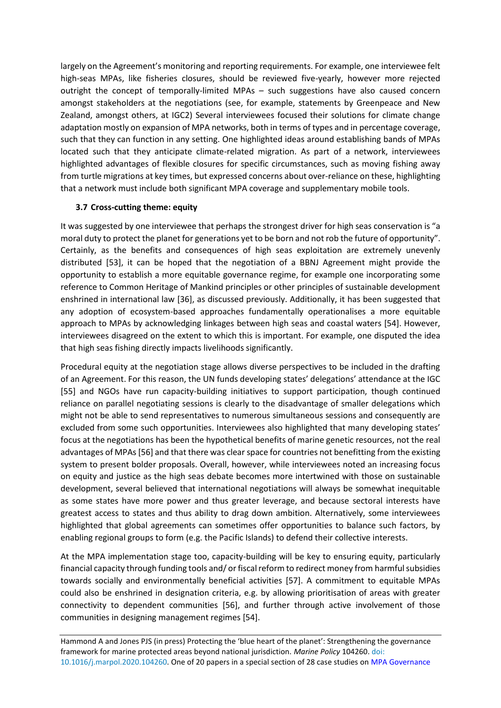largely on the Agreement's monitoring and reporting requirements. For example, one interviewee felt high-seas MPAs, like fisheries closures, should be reviewed five-yearly, however more rejected outright the concept of temporally-limited MPAs – such suggestions have also caused concern amongst stakeholders at the negotiations (see, for example, statements by Greenpeace and New Zealand, amongst others, at IGC2) Several interviewees focused their solutions for climate change adaptation mostly on expansion of MPA networks, both in terms of types and in percentage coverage, such that they can function in any setting. One highlighted ideas around establishing bands of MPAs located such that they anticipate climate-related migration. As part of a network, interviewees highlighted advantages of flexible closures for specific circumstances, such as moving fishing away from turtle migrations at key times, but expressed concerns about over-reliance on these, highlighting that a network must include both significant MPA coverage and supplementary mobile tools.

# **3.7 Cross-cutting theme: equity**

It was suggested by one interviewee that perhaps the strongest driver for high seas conservation is "a moral duty to protect the planet for generations yet to be born and not rob the future of opportunity". Certainly, as the benefits and consequences of high seas exploitation are extremely unevenly distributed [53], it can be hoped that the negotiation of a BBNJ Agreement might provide the opportunity to establish a more equitable governance regime, for example one incorporating some reference to Common Heritage of Mankind principles or other principles of sustainable development enshrined in international law [36], as discussed previously. Additionally, it has been suggested that any adoption of ecosystem-based approaches fundamentally operationalises a more equitable approach to MPAs by acknowledging linkages between high seas and coastal waters [54]. However, interviewees disagreed on the extent to which this is important. For example, one disputed the idea that high seas fishing directly impacts livelihoods significantly.

Procedural equity at the negotiation stage allows diverse perspectives to be included in the drafting of an Agreement. For this reason, the UN funds developing states' delegations' attendance at the IGC [55] and NGOs have run capacity-building initiatives to support participation, though continued reliance on parallel negotiating sessions is clearly to the disadvantage of smaller delegations which might not be able to send representatives to numerous simultaneous sessions and consequently are excluded from some such opportunities. Interviewees also highlighted that many developing states' focus at the negotiations has been the hypothetical benefits of marine genetic resources, not the real advantages of MPAs [56] and that there was clear space for countries not benefitting from the existing system to present bolder proposals. Overall, however, while interviewees noted an increasing focus on equity and justice as the high seas debate becomes more intertwined with those on sustainable development, several believed that international negotiations will always be somewhat inequitable as some states have more power and thus greater leverage, and because sectoral interests have greatest access to states and thus ability to drag down ambition. Alternatively, some interviewees highlighted that global agreements can sometimes offer opportunities to balance such factors, by enabling regional groups to form (e.g. the Pacific Islands) to defend their collective interests.

At the MPA implementation stage too, capacity-building will be key to ensuring equity, particularly financial capacity through funding tools and/ or fiscal reform to redirect money from harmful subsidies towards socially and environmentally beneficial activities [57]. A commitment to equitable MPAs could also be enshrined in designation criteria, e.g. by allowing prioritisation of areas with greater connectivity to dependent communities [56], and further through active involvement of those communities in designing management regimes [54].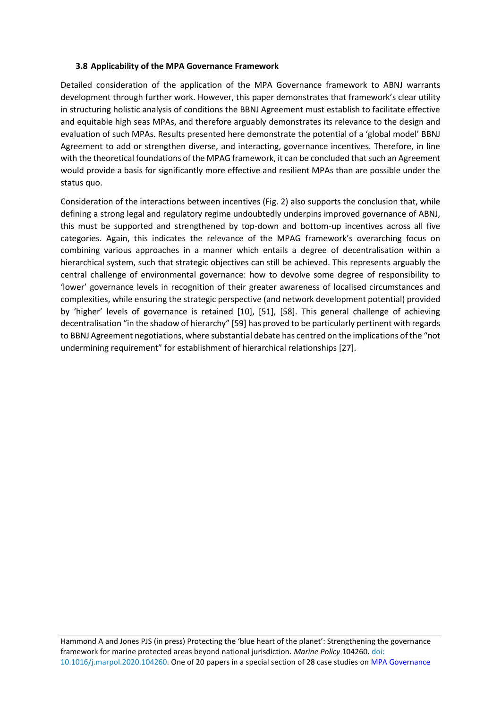### **3.8 Applicability of the MPA Governance Framework**

Detailed consideration of the application of the MPA Governance framework to ABNJ warrants development through further work. However, this paper demonstrates that framework's clear utility in structuring holistic analysis of conditions the BBNJ Agreement must establish to facilitate effective and equitable high seas MPAs, and therefore arguably demonstrates its relevance to the design and evaluation of such MPAs. Results presented here demonstrate the potential of a 'global model' BBNJ Agreement to add or strengthen diverse, and interacting, governance incentives. Therefore, in line with the theoretical foundations of the MPAG framework, it can be concluded that such an Agreement would provide a basis for significantly more effective and resilient MPAs than are possible under the status quo.

Consideration of the interactions between incentives (Fig. 2) also supports the conclusion that, while defining a strong legal and regulatory regime undoubtedly underpins improved governance of ABNJ, this must be supported and strengthened by top-down and bottom-up incentives across all five categories. Again, this indicates the relevance of the MPAG framework's overarching focus on combining various approaches in a manner which entails a degree of decentralisation within a hierarchical system, such that strategic objectives can still be achieved. This represents arguably the central challenge of environmental governance: how to devolve some degree of responsibility to 'lower' governance levels in recognition of their greater awareness of localised circumstances and complexities, while ensuring the strategic perspective (and network development potential) provided by 'higher' levels of governance is retained [10], [51], [58]. This general challenge of achieving decentralisation "in the shadow of hierarchy" [59] has proved to be particularly pertinent with regards to BBNJ Agreement negotiations, where substantial debate has centred on the implications of the "not undermining requirement" for establishment of hierarchical relationships [27].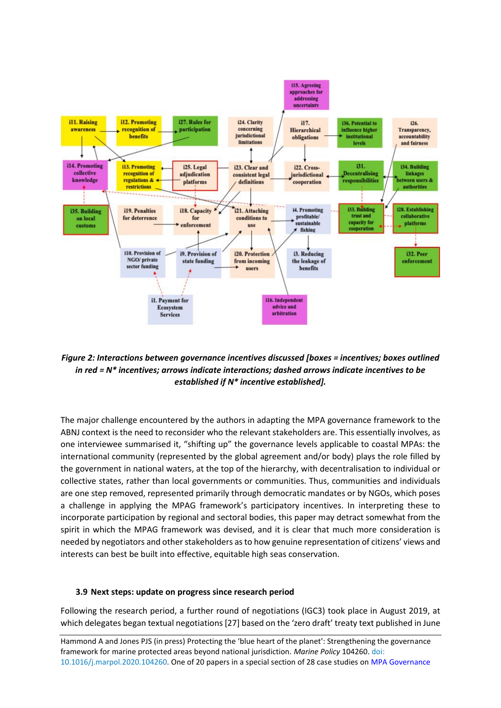

*Figure 2: Interactions between governance incentives discussed [boxes = incentives; boxes outlined in red = N\* incentives; arrows indicate interactions; dashed arrows indicate incentives to be established if N\* incentive established].*

The major challenge encountered by the authors in adapting the MPA governance framework to the ABNJ context is the need to reconsider who the relevant stakeholders are. This essentially involves, as one interviewee summarised it, "shifting up" the governance levels applicable to coastal MPAs: the international community (represented by the global agreement and/or body) plays the role filled by the government in national waters, at the top of the hierarchy, with decentralisation to individual or collective states, rather than local governments or communities. Thus, communities and individuals are one step removed, represented primarily through democratic mandates or by NGOs, which poses a challenge in applying the MPAG framework's participatory incentives. In interpreting these to incorporate participation by regional and sectoral bodies, this paper may detract somewhat from the spirit in which the MPAG framework was devised, and it is clear that much more consideration is needed by negotiators and other stakeholders as to how genuine representation of citizens' views and interests can best be built into effective, equitable high seas conservation.

#### **3.9 Next steps: update on progress since research period**

Following the research period, a further round of negotiations (IGC3) took place in August 2019, at which delegates began textual negotiations [27] based on the 'zero draft' treaty text published in June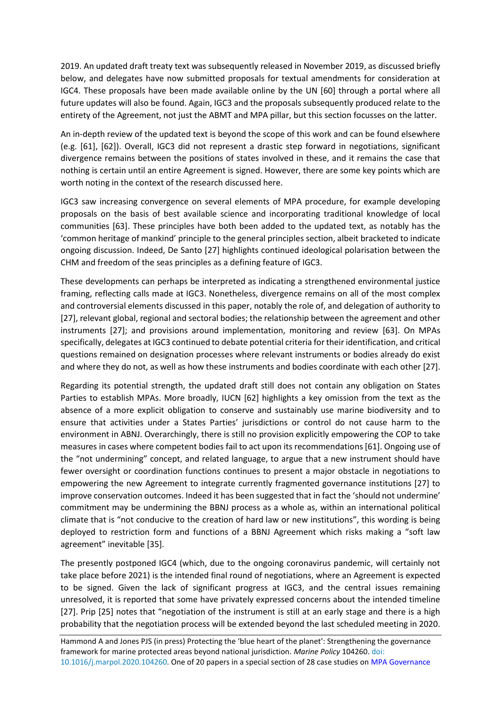2019. An updated draft treaty text was subsequently released in November 2019, as discussed briefly below, and delegates have now submitted proposals for textual amendments for consideration at IGC4. These proposals have been made available online by the UN [60] through a portal where all future updates will also be found. Again, IGC3 and the proposals subsequently produced relate to the entirety of the Agreement, not just the ABMT and MPA pillar, but this section focusses on the latter.

An in-depth review of the updated text is beyond the scope of this work and can be found elsewhere (e.g. [61], [62]). Overall, IGC3 did not represent a drastic step forward in negotiations, significant divergence remains between the positions of states involved in these, and it remains the case that nothing is certain until an entire Agreement is signed. However, there are some key points which are worth noting in the context of the research discussed here.

IGC3 saw increasing convergence on several elements of MPA procedure, for example developing proposals on the basis of best available science and incorporating traditional knowledge of local communities [63]. These principles have both been added to the updated text, as notably has the 'common heritage of mankind' principle to the general principles section, albeit bracketed to indicate ongoing discussion. Indeed, De Santo [27] highlights continued ideological polarisation between the CHM and freedom of the seas principles as a defining feature of IGC3.

These developments can perhaps be interpreted as indicating a strengthened environmental justice framing, reflecting calls made at IGC3. Nonetheless, divergence remains on all of the most complex and controversial elements discussed in this paper, notably the role of, and delegation of authority to [27], relevant global, regional and sectoral bodies; the relationship between the agreement and other instruments [27]; and provisions around implementation, monitoring and review [63]. On MPAs specifically, delegates at IGC3 continued to debate potential criteria for their identification, and critical questions remained on designation processes where relevant instruments or bodies already do exist and where they do not, as well as how these instruments and bodies coordinate with each other [27].

Regarding its potential strength, the updated draft still does not contain any obligation on States Parties to establish MPAs. More broadly, IUCN [62] highlights a key omission from the text as the absence of a more explicit obligation to conserve and sustainably use marine biodiversity and to ensure that activities under a States Parties' jurisdictions or control do not cause harm to the environment in ABNJ. Overarchingly, there is still no provision explicitly empowering the COP to take measures in cases where competent bodies fail to act upon its recommendations [61]. Ongoing use of the "not undermining" concept, and related language, to argue that a new instrument should have fewer oversight or coordination functions continues to present a major obstacle in negotiations to empowering the new Agreement to integrate currently fragmented governance institutions [27] to improve conservation outcomes. Indeed it has been suggested that in fact the 'should not undermine' commitment may be undermining the BBNJ process as a whole as, within an international political climate that is "not conducive to the creation of hard law or new institutions", this wording is being deployed to restriction form and functions of a BBNJ Agreement which risks making a "soft law agreement" inevitable [35].

The presently postponed IGC4 (which, due to the ongoing coronavirus pandemic, will certainly not take place before 2021) is the intended final round of negotiations, where an Agreement is expected to be signed. Given the lack of significant progress at IGC3, and the central issues remaining unresolved, it is reported that some have privately expressed concerns about the intended timeline [27]. Prip [25] notes that "negotiation of the instrument is still at an early stage and there is a high probability that the negotiation process will be extended beyond the last scheduled meeting in 2020.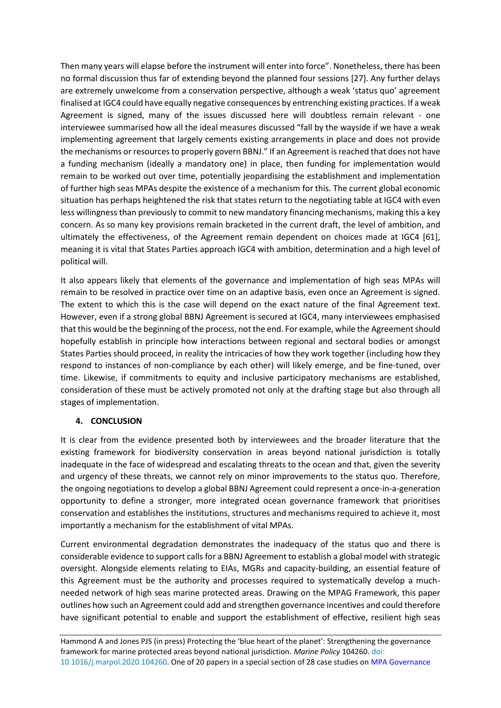Then many years will elapse before the instrument will enter into force". Nonetheless, there has been no formal discussion thus far of extending beyond the planned four sessions [27]. Any further delays are extremely unwelcome from a conservation perspective, although a weak 'status quo' agreement finalised at IGC4 could have equally negative consequences by entrenching existing practices. If a weak Agreement is signed, many of the issues discussed here will doubtless remain relevant - one interviewee summarised how all the ideal measures discussed "fall by the wayside if we have a weak implementing agreement that largely cements existing arrangements in place and does not provide the mechanisms or resources to properly govern BBNJ." If an Agreement is reached that does not have a funding mechanism (ideally a mandatory one) in place, then funding for implementation would remain to be worked out over time, potentially jeopardising the establishment and implementation of further high seas MPAs despite the existence of a mechanism for this. The current global economic situation has perhaps heightened the risk that states return to the negotiating table at IGC4 with even less willingness than previously to commit to new mandatory financing mechanisms, making this a key concern. As so many key provisions remain bracketed in the current draft, the level of ambition, and ultimately the effectiveness, of the Agreement remain dependent on choices made at IGC4 [61], meaning it is vital that States Parties approach IGC4 with ambition, determination and a high level of political will.

It also appears likely that elements of the governance and implementation of high seas MPAs will remain to be resolved in practice over time on an adaptive basis, even once an Agreement is signed. The extent to which this is the case will depend on the exact nature of the final Agreement text. However, even if a strong global BBNJ Agreement is secured at IGC4, many interviewees emphasised that this would be the beginning of the process, not the end. For example, while the Agreement should hopefully establish in principle how interactions between regional and sectoral bodies or amongst States Parties should proceed, in reality the intricacies of how they work together (including how they respond to instances of non-compliance by each other) will likely emerge, and be fine-tuned, over time. Likewise, if commitments to equity and inclusive participatory mechanisms are established, consideration of these must be actively promoted not only at the drafting stage but also through all stages of implementation.

# **4. CONCLUSION**

It is clear from the evidence presented both by interviewees and the broader literature that the existing framework for biodiversity conservation in areas beyond national jurisdiction is totally inadequate in the face of widespread and escalating threats to the ocean and that, given the severity and urgency of these threats, we cannot rely on minor improvements to the status quo. Therefore, the ongoing negotiations to develop a global BBNJ Agreement could represent a once-in-a-generation opportunity to define a stronger, more integrated ocean governance framework that prioritises conservation and establishes the institutions, structures and mechanisms required to achieve it, most importantly a mechanism for the establishment of vital MPAs.

Current environmental degradation demonstrates the inadequacy of the status quo and there is considerable evidence to support calls for a BBNJ Agreement to establish a global model with strategic oversight. Alongside elements relating to EIAs, MGRs and capacity-building, an essential feature of this Agreement must be the authority and processes required to systematically develop a muchneeded network of high seas marine protected areas. Drawing on the MPAG Framework, this paper outlines how such an Agreement could add and strengthen governance incentives and could therefore have significant potential to enable and support the establishment of effective, resilient high seas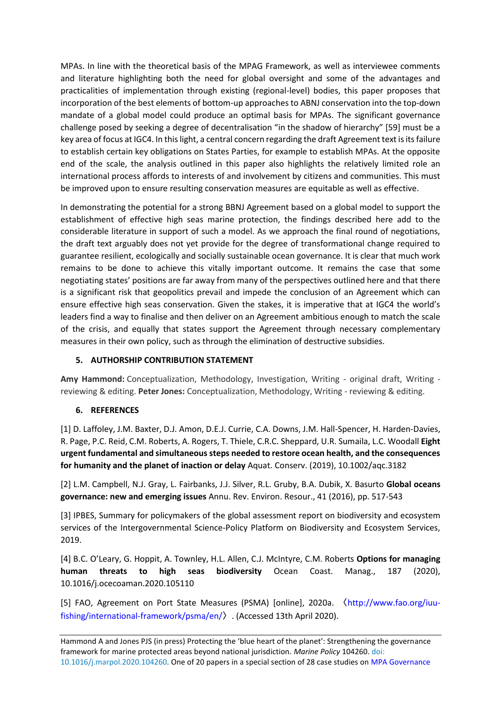MPAs. In line with the theoretical basis of the MPAG Framework, as well as interviewee comments and literature highlighting both the need for global oversight and some of the advantages and practicalities of implementation through existing (regional-level) bodies, this paper proposes that incorporation of the best elements of bottom-up approaches to ABNJ conservation into the top-down mandate of a global model could produce an optimal basis for MPAs. The significant governance challenge posed by seeking a degree of decentralisation "in the shadow of hierarchy" [59] must be a key area of focus at IGC4. In this light, a central concern regarding the draft Agreement text is its failure to establish certain key obligations on States Parties, for example to establish MPAs. At the opposite end of the scale, the analysis outlined in this paper also highlights the relatively limited role an international process affords to interests of and involvement by citizens and communities. This must be improved upon to ensure resulting conservation measures are equitable as well as effective.

In demonstrating the potential for a strong BBNJ Agreement based on a global model to support the establishment of effective high seas marine protection, the findings described here add to the considerable literature in support of such a model. As we approach the final round of negotiations, the draft text arguably does not yet provide for the degree of transformational change required to guarantee resilient, ecologically and socially sustainable ocean governance. It is clear that much work remains to be done to achieve this vitally important outcome. It remains the case that some negotiating states' positions are far away from many of the perspectives outlined here and that there is a significant risk that geopolitics prevail and impede the conclusion of an Agreement which can ensure effective high seas conservation. Given the stakes, it is imperative that at IGC4 the world's leaders find a way to finalise and then deliver on an Agreement ambitious enough to match the scale of the crisis, and equally that states support the Agreement through necessary complementary measures in their own policy, such as through the elimination of destructive subsidies.

# **5. AUTHORSHIP CONTRIBUTION STATEMENT**

**Amy Hammond:** Conceptualization, Methodology, Investigation, Writing - original draft, Writing reviewing & editing. **Peter Jones:** Conceptualization, Methodology, Writing - reviewing & editing.

# **6. REFERENCES**

[1] D. Laffoley, J.M. Baxter, D.J. Amon, D.E.J. Currie, C.A. Downs, J.M. Hall-Spencer, H. Harden-Davies, R. Page, P.C. Reid, C.M. Roberts, A. Rogers, T. Thiele, C.R.C. Sheppard, U.R. Sumaila, L.C. Woodall **Eight urgent fundamental and simultaneous steps needed to restore ocean health, and the consequences for humanity and the planet of inaction or delay** Aquat. Conserv. (2019), 10.1002/aqc.3182

[2] L.M. Campbell, N.J. Gray, L. Fairbanks, J.J. Silver, R.L. Gruby, B.A. Dubik, X. Basurto **Global oceans governance: new and emerging issues** Annu. Rev. Environ. Resour., 41 (2016), pp. 517-543

[3] IPBES, Summary for policymakers of the global assessment report on biodiversity and ecosystem services of the Intergovernmental Science-Policy Platform on Biodiversity and Ecosystem Services, 2019.

[4] B.C. O'Leary, G. Hoppit, A. Townley, H.L. Allen, C.J. McIntyre, C.M. Roberts **Options for managing human threats to high seas biodiversity** Ocean Coast. Manag., 187 (2020), 10.1016/j.ocecoaman.2020.105110

[5] FAO, Agreement on Port State Measures (PSMA) [online], 2020a. 〈[http://www.fao.org/iuu](http://www.fao.org/iuu-fishing/international-framework/psma/en/)[fishing/international-framework/psma/en/](http://www.fao.org/iuu-fishing/international-framework/psma/en/)〉. (Accessed 13th April 2020).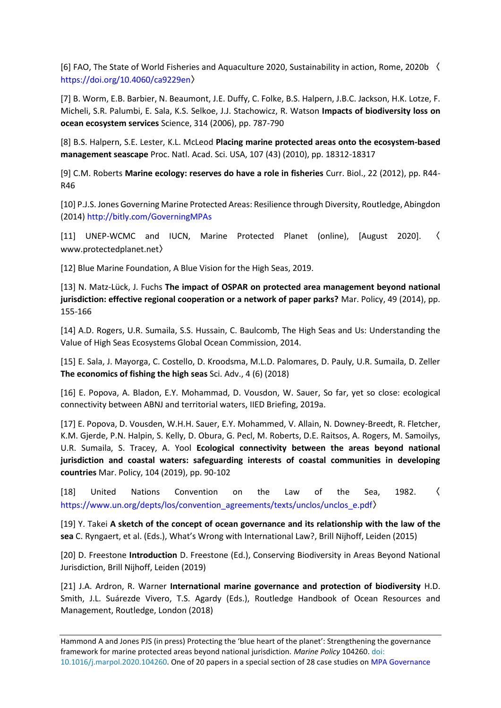[6] FAO, The State of World Fisheries and Aquaculture 2020, Sustainability in action, Rome, 2020b 〈 <https://doi.org/10.4060/ca9229en>〉

[7] B. Worm, E.B. Barbier, N. Beaumont, J.E. Duffy, C. Folke, B.S. Halpern, J.B.C. Jackson, H.K. Lotze, F. Micheli, S.R. Palumbi, E. Sala, K.S. Selkoe, J.J. Stachowicz, R. Watson **Impacts of biodiversity loss on ocean ecosystem services** Science, 314 (2006), pp. 787-790

[8] B.S. Halpern, S.E. Lester, K.L. McLeod **Placing marine protected areas onto the ecosystem-based management seascape** Proc. Natl. Acad. Sci. USA, 107 (43) (2010), pp. 18312-18317

[9] C.M. Roberts **Marine ecology: reserves do have a role in fisheries** Curr. Biol., 22 (2012), pp. R44- R46

[10] P.J.S. Jones Governing Marine Protected Areas: Resilience through Diversity, Routledge, Abingdon (2014) <http://bitly.com/GoverningMPAs>

[11] UNEP-WCMC and IUCN, Marine Protected Planet (online), [August 2020]. 〈 www.protectedplanet.net〉

[12] Blue Marine Foundation, A Blue Vision for the High Seas, 2019.

[13] N. Matz-Lück, J. Fuchs **The impact of OSPAR on protected area management beyond national jurisdiction: effective regional cooperation or a network of paper parks?** Mar. Policy, 49 (2014), pp. 155-166

[14] A.D. Rogers, U.R. Sumaila, S.S. Hussain, C. Baulcomb, The High Seas and Us: Understanding the Value of High Seas Ecosystems Global Ocean Commission, 2014.

[15] E. Sala, J. Mayorga, C. Costello, D. Kroodsma, M.L.D. Palomares, D. Pauly, U.R. Sumaila, D. Zeller **The economics of fishing the high seas** Sci. Adv., 4 (6) (2018)

[16] E. Popova, A. Bladon, E.Y. Mohammad, D. Vousdon, W. Sauer, So far, yet so close: ecological connectivity between ABNJ and territorial waters, IIED Briefing, 2019a.

[17] E. Popova, D. Vousden, W.H.H. Sauer, E.Y. Mohammed, V. Allain, N. Downey-Breedt, R. Fletcher, K.M. Gjerde, P.N. Halpin, S. Kelly, D. Obura, G. Pecl, M. Roberts, D.E. Raitsos, A. Rogers, M. Samoilys, U.R. Sumaila, S. Tracey, A. Yool **Ecological connectivity between the areas beyond national jurisdiction and coastal waters: safeguarding interests of coastal communities in developing countries** Mar. Policy, 104 (2019), pp. 90-102

[18] United Nations Convention on the Law of the Sea, 1982. 〈 [https://www.un.org/depts/los/convention\\_agreements/texts/unclos/unclos\\_e.pdf](https://www.un.org/depts/los/convention_agreements/texts/unclos/unclos_e.pdf)〉

[19] Y. Takei **A sketch of the concept of ocean governance and its relationship with the law of the sea** C. Ryngaert, et al. (Eds.), What's Wrong with International Law?, Brill Nijhoff, Leiden (2015)

[20] D. Freestone **Introduction** D. Freestone (Ed.), Conserving Biodiversity in Areas Beyond National Jurisdiction, Brill Nijhoff, Leiden (2019)

[21] J.A. Ardron, R. Warner **International marine governance and protection of biodiversity** H.D. Smith, J.L. Suárezde Vivero, T.S. Agardy (Eds.), Routledge Handbook of Ocean Resources and Management, Routledge, London (2018)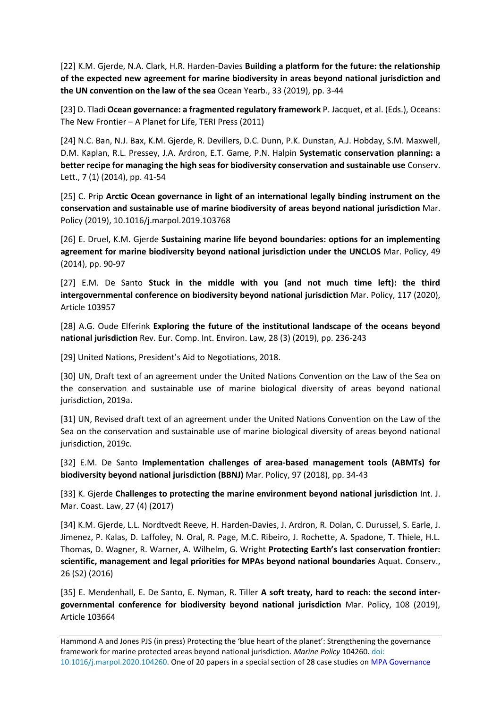[22] K.M. Gjerde, N.A. Clark, H.R. Harden-Davies **Building a platform for the future: the relationship of the expected new agreement for marine biodiversity in areas beyond national jurisdiction and the UN convention on the law of the sea** Ocean Yearb., 33 (2019), pp. 3-44

[23] D. Tladi **Ocean governance: a fragmented regulatory framework** P. Jacquet, et al. (Eds.), Oceans: The New Frontier – A Planet for Life, TERI Press (2011)

[24] N.C. Ban, N.J. Bax, K.M. Gjerde, R. Devillers, D.C. Dunn, P.K. Dunstan, A.J. Hobday, S.M. Maxwell, D.M. Kaplan, R.L. Pressey, J.A. Ardron, E.T. Game, P.N. Halpin **Systematic conservation planning: a better recipe for managing the high seas for biodiversity conservation and sustainable use** Conserv. Lett., 7 (1) (2014), pp. 41-54

[25] C. Prip **Arctic Ocean governance in light of an international legally binding instrument on the conservation and sustainable use of marine biodiversity of areas beyond national jurisdiction** Mar. Policy (2019), 10.1016/j.marpol.2019.103768

[26] E. Druel, K.M. Gjerde **Sustaining marine life beyond boundaries: options for an implementing agreement for marine biodiversity beyond national jurisdiction under the UNCLOS** Mar. Policy, 49 (2014), pp. 90-97

[27] E.M. De Santo **Stuck in the middle with you (and not much time left): the third intergovernmental conference on biodiversity beyond national jurisdiction** Mar. Policy, 117 (2020), Article 103957

[28] A.G. Oude Elferink **Exploring the future of the institutional landscape of the oceans beyond national jurisdiction** Rev. Eur. Comp. Int. Environ. Law, 28 (3) (2019), pp. 236-243

[29] United Nations, President's Aid to Negotiations, 2018.

[30] UN, Draft text of an agreement under the United Nations Convention on the Law of the Sea on the conservation and sustainable use of marine biological diversity of areas beyond national jurisdiction, 2019a.

[31] UN, Revised draft text of an agreement under the United Nations Convention on the Law of the Sea on the conservation and sustainable use of marine biological diversity of areas beyond national jurisdiction, 2019c.

[32] E.M. De Santo **Implementation challenges of area-based management tools (ABMTs) for biodiversity beyond national jurisdiction (BBNJ)** Mar. Policy, 97 (2018), pp. 34-43

[33] K. Gjerde **Challenges to protecting the marine environment beyond national jurisdiction** Int. J. Mar. Coast. Law, 27 (4) (2017)

[34] K.M. Gjerde, L.L. Nordtvedt Reeve, H. Harden-Davies, J. Ardron, R. Dolan, C. Durussel, S. Earle, J. Jimenez, P. Kalas, D. Laffoley, N. Oral, R. Page, M.C. Ribeiro, J. Rochette, A. Spadone, T. Thiele, H.L. Thomas, D. Wagner, R. Warner, A. Wilhelm, G. Wright **Protecting Earth's last conservation frontier: scientific, management and legal priorities for MPAs beyond national boundaries** Aquat. Conserv., 26 (S2) (2016)

[35] E. Mendenhall, E. De Santo, E. Nyman, R. Tiller **A soft treaty, hard to reach: the second intergovernmental conference for biodiversity beyond national jurisdiction** Mar. Policy, 108 (2019), Article 103664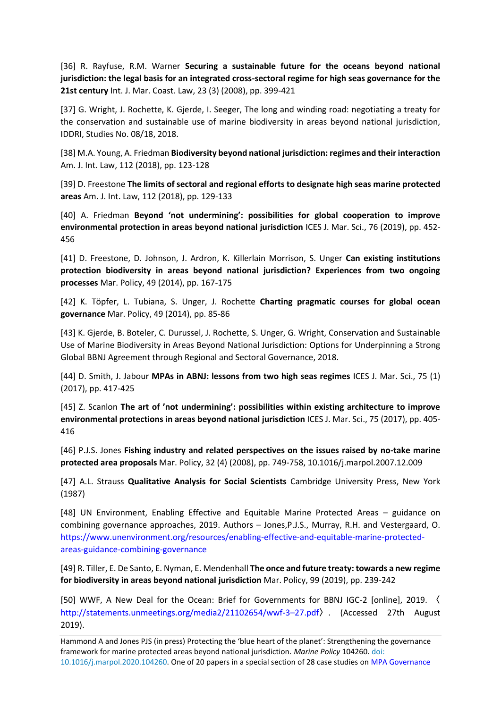[36] R. Rayfuse, R.M. Warner **Securing a sustainable future for the oceans beyond national jurisdiction: the legal basis for an integrated cross-sectoral regime for high seas governance for the 21st century** Int. J. Mar. Coast. Law, 23 (3) (2008), pp. 399-421

[37] G. Wright, J. Rochette, K. Gjerde, I. Seeger, The long and winding road: negotiating a treaty for the conservation and sustainable use of marine biodiversity in areas beyond national jurisdiction, IDDRI, Studies No. 08/18, 2018.

[38] M.A. Young, A. Friedman **Biodiversity beyond national jurisdiction: regimes and their interaction** Am. J. Int. Law, 112 (2018), pp. 123-128

[39] D. Freestone **The limits of sectoral and regional efforts to designate high seas marine protected areas** Am. J. Int. Law, 112 (2018), pp. 129-133

[40] A. Friedman **Beyond 'not undermining': possibilities for global cooperation to improve environmental protection in areas beyond national jurisdiction** ICES J. Mar. Sci., 76 (2019), pp. 452- 456

[41] D. Freestone, D. Johnson, J. Ardron, K. Killerlain Morrison, S. Unger **Can existing institutions protection biodiversity in areas beyond national jurisdiction? Experiences from two ongoing processes** Mar. Policy, 49 (2014), pp. 167-175

[42] K. Töpfer, L. Tubiana, S. Unger, J. Rochette **Charting pragmatic courses for global ocean governance** Mar. Policy, 49 (2014), pp. 85-86

[43] K. Gjerde, B. Boteler, C. Durussel, J. Rochette, S. Unger, G. Wright, Conservation and Sustainable Use of Marine Biodiversity in Areas Beyond National Jurisdiction: Options for Underpinning a Strong Global BBNJ Agreement through Regional and Sectoral Governance, 2018.

[44] D. Smith, J. Jabour **MPAs in ABNJ: lessons from two high seas regimes** ICES J. Mar. Sci., 75 (1) (2017), pp. 417-425

[45] Z. Scanlon **The art of 'not undermining': possibilities within existing architecture to improve environmental protections in areas beyond national jurisdiction** ICES J. Mar. Sci., 75 (2017), pp. 405- 416

[46] P.J.S. Jones **Fishing industry and related perspectives on the issues raised by no-take marine protected area proposals** Mar. Policy, 32 (4) (2008), pp. 749-758, 10.1016/j.marpol.2007.12.009

[47] A.L. Strauss **Qualitative Analysis for Social Scientists** Cambridge University Press, New York (1987)

[48] UN Environment, Enabling Effective and Equitable Marine Protected Areas – guidance on combining governance approaches, 2019. Authors – Jones,P.J.S., Murray, R.H. and Vestergaard, O. [https://www.unenvironment.org/resources/enabling-effective-and-equitable-marine-protected](https://www.unenvironment.org/resources/enabling-effective-and-equitable-marine-protected-areas-guidance-combining-governance)[areas-guidance-combining-governance](https://www.unenvironment.org/resources/enabling-effective-and-equitable-marine-protected-areas-guidance-combining-governance)

[49] R. Tiller, E. De Santo, E. Nyman, E. Mendenhall **The once and future treaty: towards a new regime for biodiversity in areas beyond national jurisdiction** Mar. Policy, 99 (2019), pp. 239-242

[50] WWF, A New Deal for the Ocean: Brief for Governments for BBNJ IGC-2 [online], 2019. 〈 [http://statements.unmeetings.org/media2/21102654/wwf-3](http://statements.unmeetings.org/media2/21102654/wwf-3–27.pdf)–27.pdf〉. (Accessed 27th August 2019).